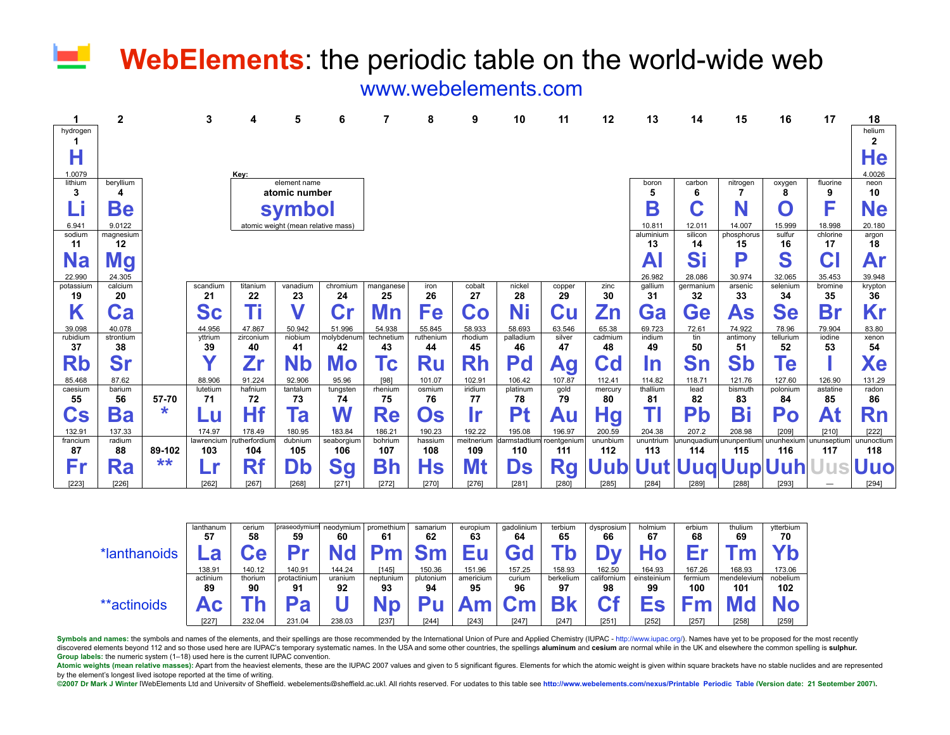# ш **WebElements**: the periodic table on the world-wide web

[www.webelements.com](http://www.webelements.com/)

|                        | 2             |        | 3                 |                     | 5                                  | 6                 |                 | 8              | 9                 | 10                  | 11                 | 12              | 13               | 14                 | 15                 | 16                | 17                | 18                |
|------------------------|---------------|--------|-------------------|---------------------|------------------------------------|-------------------|-----------------|----------------|-------------------|---------------------|--------------------|-----------------|------------------|--------------------|--------------------|-------------------|-------------------|-------------------|
| hydrogen               |               |        |                   |                     |                                    |                   |                 |                |                   |                     |                    |                 |                  |                    |                    |                   |                   | helium            |
|                        |               |        |                   |                     |                                    |                   |                 |                |                   |                     |                    |                 |                  |                    |                    |                   |                   | 2                 |
| Н                      |               |        |                   |                     |                                    |                   |                 |                |                   |                     |                    |                 |                  |                    |                    |                   |                   | He                |
| 1.0079                 |               |        |                   | Key:                |                                    |                   |                 |                |                   |                     |                    |                 |                  |                    |                    |                   |                   | 4.0026            |
| lithium                | beryllium     |        |                   |                     | element name                       |                   |                 |                |                   |                     |                    |                 | boron            | carbon             | nitrogen           | oxygen            | fluorine          | neon              |
| 3                      | 4             |        | atomic number     |                     |                                    |                   |                 |                |                   |                     |                    |                 | 5                | 6                  |                    |                   | 9                 | 10                |
| Lİ                     | Be            |        |                   |                     | symbol                             |                   |                 |                |                   |                     |                    |                 | B                |                    |                    | O                 | F                 | <b>Ne</b>         |
| 6.941                  | 9.0122        |        |                   |                     | atomic weight (mean relative mass) |                   |                 |                |                   |                     |                    |                 | 10.811           | 12.011             | 14.007             | 15.999            | 18.998            | 20.180            |
| sodium                 | magnesium     |        |                   |                     |                                    |                   |                 |                |                   |                     |                    |                 | aluminium        | silicon            | phosphorus         | sulfur            | chlorine          | argon             |
| 11                     | 12            |        |                   |                     |                                    |                   |                 |                |                   |                     |                    |                 | 13               | 14                 | 15                 | 16                | 17                | 18                |
| <b>Na</b>              | <b>Mg</b>     |        |                   |                     |                                    |                   |                 |                |                   |                     |                    |                 | A                | S                  | D                  | S                 | C.                | Ar                |
| 22.990                 | 24.305        |        |                   |                     |                                    |                   |                 |                |                   |                     |                    |                 | 26.982           | 28.086             | 30.974             | 32.065            | 35.453            | 39.948            |
| potassium<br>19        | calcium<br>20 |        | scandium<br>21    | titanium<br>22      | vanadium<br>23                     | chromium<br>24    | manganese<br>25 | iron<br>26     | cobalt<br>27      | nickel<br>28        | copper<br>29       | zinc<br>30      | gallium<br>31    | germanium<br>32    | arsenic<br>33      | selenium<br>34    | bromine<br>35     | krypton<br>36     |
|                        |               |        |                   |                     |                                    |                   |                 |                |                   |                     |                    |                 |                  |                    |                    |                   |                   |                   |
| Κ                      | Ca            |        | <b>Sc</b>         | Ti                  |                                    | Cr                | Иn              | Fe             | Co                | Ni                  | Cu                 | Zn              | Ga               | Ge                 | As                 | Se                | <b>Br</b>         | Kr                |
| 39.098                 | 40.078        |        | 44.956            | 47.867              | 50.942                             | 51.996            | 54.938          | 55.845         | 58.933            | 58.693              | 63.546             | 65.38           | 69.723           | 72.61              | 74.922             | 78.96             | 79.904            | 83.80             |
| rubidium               | strontium     |        | yttrium           | zirconium           | niobium                            | molybdenum        | technetiun      | ruthenium      | rhodium           | palladium           | silver             | cadmium         | indium           | tin                | antimony           | tellurium         | iodine            | xenon             |
| 37                     | 38            |        | 39<br>v           | 40                  | 41                                 | 42                | 43              | 44             | 45                | 46                  | 47                 | 48              | 49               | 50                 | 51                 | 52                | 53                | 54                |
| Rb                     | Sr            |        |                   | 2r                  | Nb                                 | Mo                | $\mathsf{c}$    | <b>Ru</b>      | Rh                | Pd                  | Ag                 | Cd              | In               | Sn                 | <b>Sb</b>          | Te                |                   | Xe                |
| 85.468                 | 87.62         |        | 88.906            | 91.224              | 92.906                             | 95.96             | [98]            | 101.07         | 102.91            | 106.42              | 107.87             | 112.41          | 114.82           | 118.71             | 121.76             | 127.60            | 126.90            | 131.29            |
| caesium<br>55          | barium<br>56  | 57-70  | lutetium<br>71    | hafnium<br>72       | tantalum<br>73                     | tungsten<br>74    | rhenium<br>75   | osmium<br>76   | iridium<br>77     | platinum<br>78      | gold<br>79         | mercury<br>80   | thallium<br>81   | lead<br>82         | bismuth<br>83      | polonium<br>84    | astatine<br>85    | radon<br>86       |
|                        |               | *      |                   |                     |                                    |                   |                 |                |                   |                     |                    |                 |                  |                    |                    |                   |                   |                   |
| $\mathbf{C}\mathbf{s}$ | Ba            |        | LU                | Hf                  | Га                                 | W                 | Re              | Os             | <u>Ir</u>         | Pt                  | Au                 | Ηg              |                  | Pb                 | Bi                 | Po                | At                | Rn                |
| 132.91                 | 137.33        |        | 174.97            | 178.49              | 180.95                             | 183.84            | 186.21          | 190.23         | 192.22            | 195.08              | 196.97             | 200.59          | 204.38           | 207.2              | 208.98             | [209]             | [210]             | [222]             |
| francium<br>87         | radium<br>88  | 89-102 | lawrencium<br>103 | utherfordium<br>104 | dubnium<br>105                     | seaborgium<br>106 | bohrium<br>107  | hassium<br>108 | meitnerium<br>109 | darmstadtium<br>110 | roentgenium<br>111 | ununbium<br>112 | ununtrium<br>113 | ununquadiun<br>114 | ununpentium<br>115 | ununhexium<br>116 | nunseptium<br>117 | ununoctium<br>118 |
|                        |               | **     |                   |                     |                                    |                   |                 |                |                   |                     |                    |                 |                  |                    |                    |                   |                   |                   |
| Fr                     | Ra            |        | Lr                | Rf                  | Db                                 | Sg                | Bh              | Hs             | Mt                | Ds                  | <b>Rg</b>          | Uub             |                  |                    | Uut Uuq Uup Uuh    |                   |                   | <b>Uuo</b>        |
| [223]                  | [226]         |        | [262]             | [267]               | [268]                              | [271]             | [272]           | [270]          | [276]             | [281]               | [280]              | [285]           | [284]            | [289]              | [288]              | [293]             |                   | [294]             |

|              | lanthanum | cerium  | praseodymium | neodymium | promethium | samarium    | europium  | gadolinium | terbium   | dysprosium  | holmium     | erbium  | thulium     | ytterbium |
|--------------|-----------|---------|--------------|-----------|------------|-------------|-----------|------------|-----------|-------------|-------------|---------|-------------|-----------|
|              | 57        | 58      | 59           | 60        | 61         | 62          | 63        | 64         | 65        | 66          | 67          | 68      | 69          | 70        |
| *lanthanoids | $\bullet$ |         | D v          | WЧ        |            | $S_{\rm m}$ |           |            |           |             |             |         |             |           |
|              | 138.91    | 140.12  | 140.91       | 144.24    | [145]      | 150.36      | 151.96    | 157.25     | 158.93    | 162.50      | 164.93      | 167.26  | 168.93      | 173.06    |
|              | actinium  | thorium | protactinium | uranium   | neptunium  | plutonium   | americium | curium     | berkelium | californium | einsteinium | fermium | mendelevium | nobelium  |
|              | 89        | 90      | 91           | 92        | 93         | 94          | 95        | 96         | 97        | 98          | 99          | 100     | 101         | 102       |
| **actinoids  | ◠         |         | פכ           |           |            |             |           |            | DI,       | ∩₽          | Ee          |         |             |           |
|              | [227]     | 232.04  | 231.04       | 238.03    | [237]      | [244]       | [243]     | [247]      | [247]     | [251]       | [252]       | [257]   | [258]       | [259]     |

Symbols and names: the symbols and names of the elements, and their spellings are [those recommended by](http://www.iupac.org/) the International Union of Pure and Applied Chemistry (IUPAC - http://www.iupac.org/). Names have yet to be proposed fo discovered elements beyond 112 and so those used here are IUPAC's temporary systematic names. In the USA and some other countries, the spellings aluminum and cesium are normal while in the UK and elsewhere the common spell **Group labels:** the numeric system (1–18) used here is the current IUPAC convention.

Atomic weights (mean relative masses): Apart from the heaviest elements, these are the IUPAC 2007 values and given to 5 significant figures. Elements for which the atomic weight is given within square brackets have no stab by the element's longest lived isotope reported at the time of writing.

@2007 Dr Mark J Winter IWebElements Ltd and University of Sheffield. webelements@sheffield.ac.ukl. All rights reserved. For updates to this table see http://www.webelements.com/nexus/Printable Periodic Table (Version date: